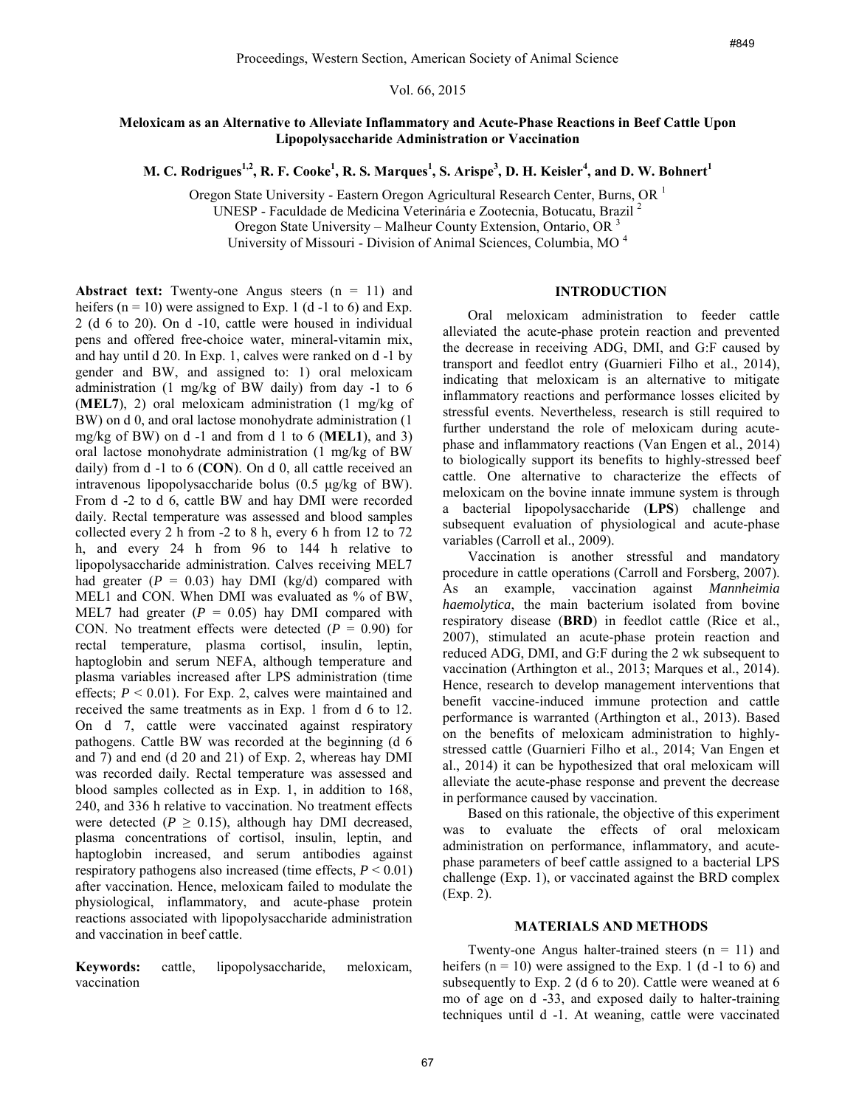Vol. 66, 2015

## **Meloxicam as an Alternative to Alleviate Inflammatory and Acute-Phase Reactions in Beef Cattle Upon Lipopolysaccharide Administration or Vaccination**

 $M$ . C. Rodrigues $^{1,2}$ , R. F. Cooke $^{1}$ , R. S. Marques $^{1}$ , S. Arispe $^{3}$ , D. H. Keisler $^{4}$ , and D. W. Bohnert $^{1}$ 

Oregon State University - Eastern Oregon Agricultural Research Center, Burns, OR <sup>1</sup>

UNESP - Faculdade de Medicina Veterinária e Zootecnia, Botucatu, Brazil <sup>2</sup>

Oregon State University – Malheur County Extension, Ontario, OR <sup>3</sup>

University of Missouri - Division of Animal Sciences, Columbia, MO <sup>4</sup>

## **INTRODUCTION**

**Abstract text:** Twenty-one Angus steers  $(n = 11)$  and heifers  $(n = 10)$  were assigned to Exp. 1 (d -1 to 6) and Exp. 2 (d 6 to 20). On d -10, cattle were housed in individual pens and offered free-choice water, mineral-vitamin mix, and hay until d 20. In Exp. 1, calves were ranked on d -1 by gender and BW, and assigned to: 1) oral meloxicam administration (1 mg/kg of BW daily) from day -1 to 6 (**MEL7**), 2) oral meloxicam administration (1 mg/kg of BW) on d 0, and oral lactose monohydrate administration (1 mg/kg of BW) on d -1 and from d 1 to 6 (**MEL1**), and 3) oral lactose monohydrate administration (1 mg/kg of BW daily) from d -1 to 6 (**CON**). On d 0, all cattle received an intravenous lipopolysaccharide bolus (0.5 μg/kg of BW). From d -2 to d 6, cattle BW and hay DMI were recorded daily. Rectal temperature was assessed and blood samples collected every 2 h from -2 to 8 h, every 6 h from 12 to 72 h, and every 24 h from 96 to 144 h relative to lipopolysaccharide administration. Calves receiving MEL7 had greater  $(P = 0.03)$  hay DMI (kg/d) compared with MEL1 and CON. When DMI was evaluated as % of BW, MEL7 had greater  $(P = 0.05)$  hay DMI compared with CON. No treatment effects were detected  $(P = 0.90)$  for rectal temperature, plasma cortisol, insulin, leptin, haptoglobin and serum NEFA, although temperature and plasma variables increased after LPS administration (time effects;  $P < 0.01$ ). For Exp. 2, calves were maintained and received the same treatments as in Exp. 1 from d 6 to 12. On d 7, cattle were vaccinated against respiratory pathogens. Cattle BW was recorded at the beginning (d 6 and 7) and end (d 20 and 21) of Exp. 2, whereas hay DMI was recorded daily. Rectal temperature was assessed and blood samples collected as in Exp. 1, in addition to 168, 240, and 336 h relative to vaccination. No treatment effects were detected ( $P \geq 0.15$ ), although hay DMI decreased, plasma concentrations of cortisol, insulin, leptin, and haptoglobin increased, and serum antibodies against respiratory pathogens also increased (time effects,  $P \leq 0.01$ ) after vaccination. Hence, meloxicam failed to modulate the physiological, inflammatory, and acute-phase protein reactions associated with lipopolysaccharide administration and vaccination in beef cattle.

**Keywords:** cattle, lipopolysaccharide, meloxicam, vaccination

Oral meloxicam administration to feeder cattle alleviated the acute-phase protein reaction and prevented the decrease in receiving ADG, DMI, and G:F caused by transport and feedlot entry (Guarnieri Filho et al., 2014), indicating that meloxicam is an alternative to mitigate inflammatory reactions and performance losses elicited by stressful events. Nevertheless, research is still required to further understand the role of meloxicam during acutephase and inflammatory reactions (Van Engen et al., 2014) to biologically support its benefits to highly-stressed beef cattle. One alternative to characterize the effects of meloxicam on the bovine innate immune system is through a bacterial lipopolysaccharide (**LPS**) challenge and subsequent evaluation of physiological and acute-phase variables (Carroll et al., 2009).

Vaccination is another stressful and mandatory procedure in cattle operations (Carroll and Forsberg, 2007). As an example, vaccination against *Mannheimia haemolytica*, the main bacterium isolated from bovine respiratory disease (**BRD**) in feedlot cattle (Rice et al., 2007), stimulated an acute-phase protein reaction and reduced ADG, DMI, and G:F during the 2 wk subsequent to vaccination (Arthington et al., 2013; Marques et al., 2014). Hence, research to develop management interventions that benefit vaccine-induced immune protection and cattle performance is warranted (Arthington et al., 2013). Based on the benefits of meloxicam administration to highlystressed cattle (Guarnieri Filho et al., 2014; Van Engen et al., 2014) it can be hypothesized that oral meloxicam will alleviate the acute-phase response and prevent the decrease in performance caused by vaccination. merican Society of Animal Science<br>
66, 2015<br>
66, 2015<br>
66, 2015<br>
1607 and Acute-Phase Reactions in Beef Cattle Upon<br>
1616/tory and Acute-Phase Reactions in Beef Cattle Upon<br>
1616/toriumal Research Center, Burnsi ON<br>
1620<br>

Based on this rationale, the objective of this experiment was to evaluate the effects of oral meloxicam administration on performance, inflammatory, and acutephase parameters of beef cattle assigned to a bacterial LPS challenge (Exp. 1), or vaccinated against the BRD complex (Exp. 2).

### **MATERIALS AND METHODS**

Twenty-one Angus halter-trained steers  $(n = 11)$  and heifers  $(n = 10)$  were assigned to the Exp. 1 (d -1 to 6) and subsequently to Exp. 2 (d 6 to 20). Cattle were weaned at 6 mo of age on d -33, and exposed daily to halter-training techniques until d -1. At weaning, cattle were vaccinated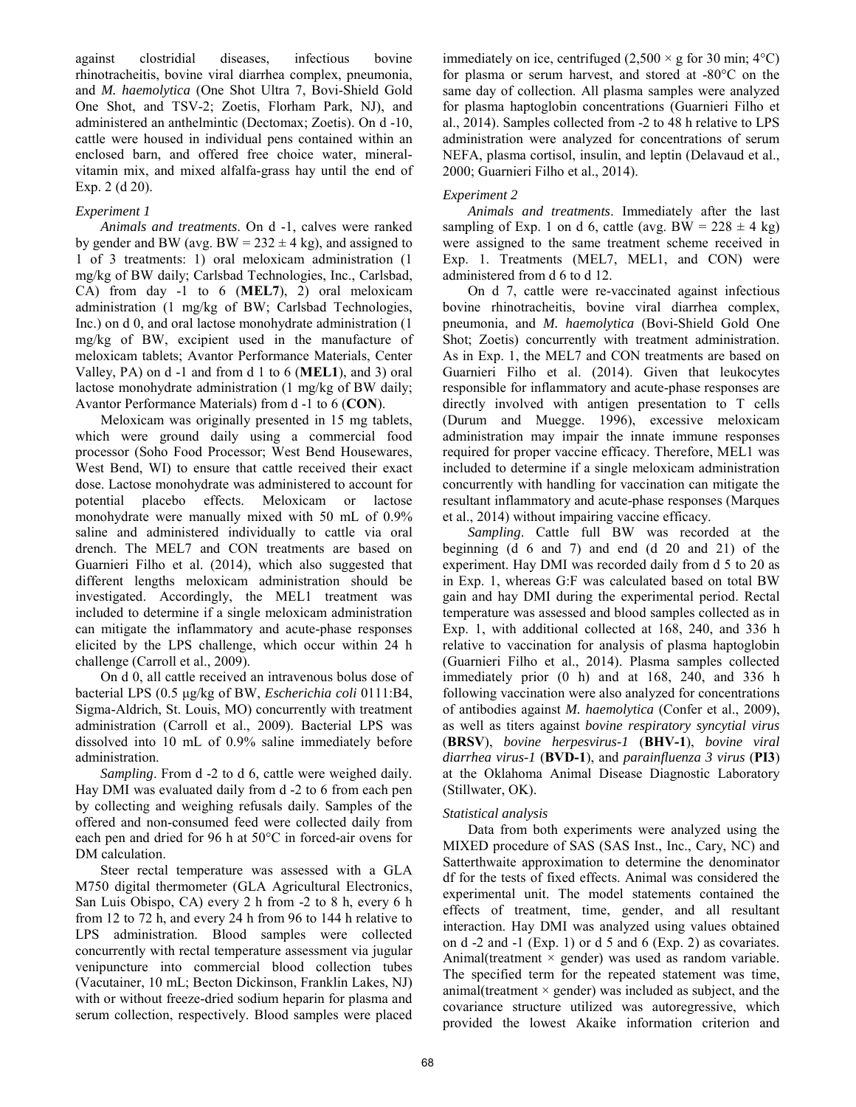against clostridial diseases, infectious bovine rhinotracheitis, bovine viral diarrhea complex, pneumonia, and *M. haemolytica* (One Shot Ultra 7, Bovi-Shield Gold One Shot, and TSV-2; Zoetis, Florham Park, NJ), and administered an anthelmintic (Dectomax; Zoetis). On d -10, cattle were housed in individual pens contained within an enclosed barn, and offered free choice water, mineralvitamin mix, and mixed alfalfa-grass hay until the end of Exp. 2 (d 20).

## *Experiment 1*

*Animals and treatments*. On d -1, calves were ranked by gender and BW (avg.  $BW = 232 \pm 4$  kg), and assigned to 1 of 3 treatments: 1) oral meloxicam administration (1 mg/kg of BW daily; Carlsbad Technologies, Inc., Carlsbad, CA) from day -1 to 6 (**MEL7**), 2) oral meloxicam administration (1 mg/kg of BW; Carlsbad Technologies, Inc.) on d 0, and oral lactose monohydrate administration (1 mg/kg of BW, excipient used in the manufacture of meloxicam tablets; Avantor Performance Materials, Center Valley, PA) on d -1 and from d 1 to 6 (**MEL1**), and 3) oral lactose monohydrate administration (1 mg/kg of BW daily; Avantor Performance Materials) from d -1 to 6 (**CON**).

Meloxicam was originally presented in 15 mg tablets, which were ground daily using a commercial food processor (Soho Food Processor; West Bend Housewares, West Bend, WI) to ensure that cattle received their exact dose. Lactose monohydrate was administered to account for potential placebo effects. Meloxicam or lactose monohydrate were manually mixed with 50 mL of 0.9% saline and administered individually to cattle via oral drench. The MEL7 and CON treatments are based on Guarnieri Filho et al. (2014), which also suggested that different lengths meloxicam administration should be investigated. Accordingly, the MEL1 treatment was included to determine if a single meloxicam administration can mitigate the inflammatory and acute-phase responses elicited by the LPS challenge, which occur within 24 h challenge (Carroll et al., 2009).

On d 0, all cattle received an intravenous bolus dose of bacterial LPS (0.5 μg/kg of BW, *Escherichia coli* 0111:B4, Sigma-Aldrich, St. Louis, MO) concurrently with treatment administration (Carroll et al., 2009). Bacterial LPS was dissolved into 10 mL of 0.9% saline immediately before administration.

*Sampling*. From d -2 to d 6, cattle were weighed daily. Hay DMI was evaluated daily from d -2 to 6 from each pen by collecting and weighing refusals daily. Samples of the offered and non-consumed feed were collected daily from each pen and dried for 96 h at 50°C in forced-air ovens for DM calculation.

Steer rectal temperature was assessed with a GLA M750 digital thermometer (GLA Agricultural Electronics, San Luis Obispo, CA) every 2 h from -2 to 8 h, every 6 h from 12 to 72 h, and every 24 h from 96 to 144 h relative to LPS administration. Blood samples were collected concurrently with rectal temperature assessment via jugular venipuncture into commercial blood collection tubes (Vacutainer, 10 mL; Becton Dickinson, Franklin Lakes, NJ) with or without freeze-dried sodium heparin for plasma and serum collection, respectively. Blood samples were placed immediately on ice, centrifuged  $(2,500 \times g$  for 30 min; 4<sup>o</sup>C) for plasma or serum harvest, and stored at -80°C on the same day of collection. All plasma samples were analyzed for plasma haptoglobin concentrations (Guarnieri Filho et al., 2014). Samples collected from -2 to 48 h relative to LPS administration were analyzed for concentrations of serum NEFA, plasma cortisol, insulin, and leptin (Delavaud et al., 2000; Guarnieri Filho et al., 2014).

# *Experiment 2*

*Animals and treatments*. Immediately after the last sampling of Exp. 1 on d 6, cattle (avg. BW =  $228 \pm 4$  kg) were assigned to the same treatment scheme received in Exp. 1. Treatments (MEL7, MEL1, and CON) were administered from d 6 to d 12.

On d 7, cattle were re-vaccinated against infectious bovine rhinotracheitis, bovine viral diarrhea complex, pneumonia, and *M. haemolytica* (Bovi-Shield Gold One Shot; Zoetis) concurrently with treatment administration. As in Exp. 1, the MEL7 and CON treatments are based on Guarnieri Filho et al. (2014). Given that leukocytes responsible for inflammatory and acute-phase responses are directly involved with antigen presentation to T cells (Durum and Muegge. 1996), excessive meloxicam administration may impair the innate immune responses required for proper vaccine efficacy. Therefore, MEL1 was included to determine if a single meloxicam administration concurrently with handling for vaccination can mitigate the resultant inflammatory and acute-phase responses (Marques et al., 2014) without impairing vaccine efficacy.

*Sampling*. Cattle full BW was recorded at the beginning (d 6 and 7) and end (d 20 and 21) of the experiment. Hay DMI was recorded daily from d 5 to 20 as in Exp. 1, whereas G:F was calculated based on total BW gain and hay DMI during the experimental period. Rectal temperature was assessed and blood samples collected as in Exp. 1, with additional collected at 168, 240, and 336 h relative to vaccination for analysis of plasma haptoglobin (Guarnieri Filho et al., 2014). Plasma samples collected immediately prior (0 h) and at 168, 240, and 336 h following vaccination were also analyzed for concentrations of antibodies against *M. haemolytica* (Confer et al., 2009), as well as titers against *bovine respiratory syncytial virus* (**BRSV**), *bovine herpesvirus-1* (**BHV-1**), *bovine viral diarrhea virus-1* (**BVD-1**), and *parainfluenza 3 virus* (**PI3**) at the Oklahoma Animal Disease Diagnostic Laboratory (Stillwater, OK).

# *Statistical analysis*

Data from both experiments were analyzed using the MIXED procedure of SAS (SAS Inst., Inc., Cary, NC) and Satterthwaite approximation to determine the denominator df for the tests of fixed effects. Animal was considered the experimental unit. The model statements contained the effects of treatment, time, gender, and all resultant interaction. Hay DMI was analyzed using values obtained on d -2 and -1 (Exp. 1) or d 5 and 6 (Exp. 2) as covariates. Animal(treatment  $\times$  gender) was used as random variable. The specified term for the repeated statement was time, animal(treatment  $\times$  gender) was included as subject, and the covariance structure utilized was autoregressive, which provided the lowest Akaike information criterion and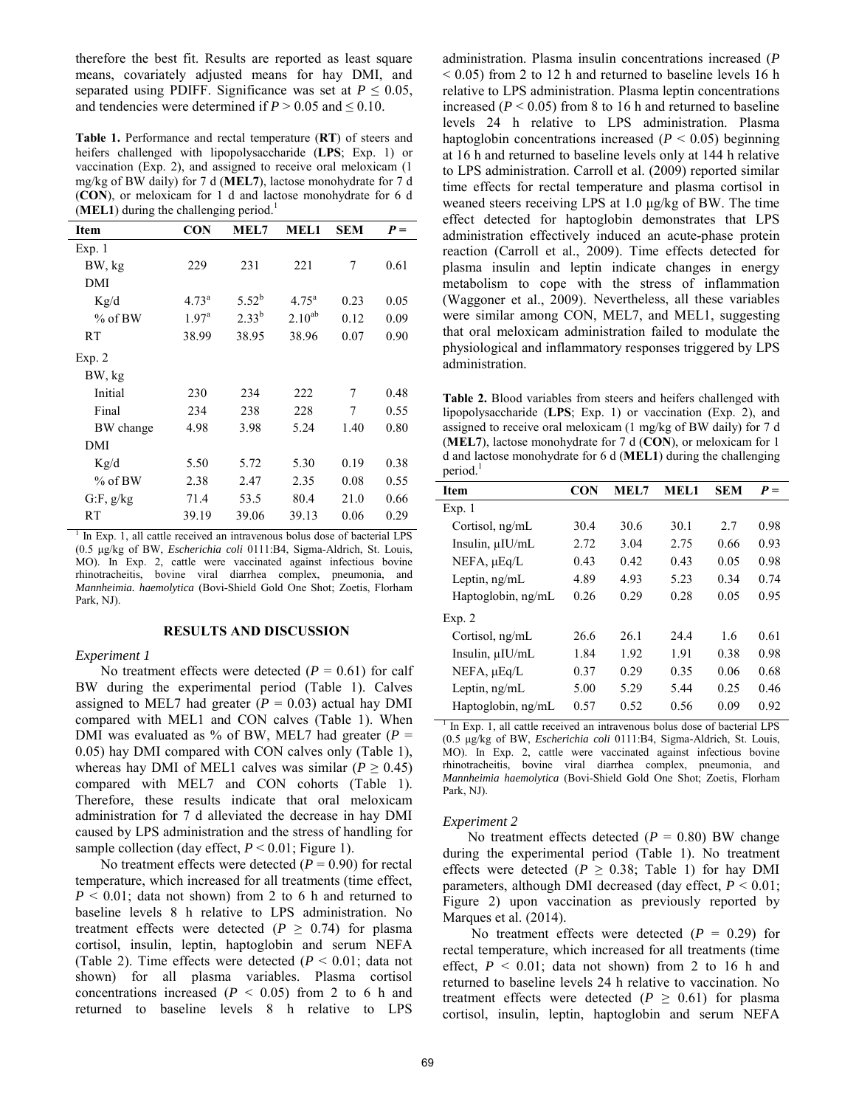therefore the best fit. Results are reported as least square means, covariately adjusted means for hay DMI, and separated using PDIFF. Significance was set at  $P \leq 0.05$ , and tendencies were determined if  $P > 0.05$  and  $\leq 0.10$ .

**Table 1.** Performance and rectal temperature (**RT**) of steers and heifers challenged with lipopolysaccharide (**LPS**; Exp. 1) or vaccination (Exp. 2), and assigned to receive oral meloxicam (1 mg/kg of BW daily) for 7 d (**MEL7**), lactose monohydrate for 7 d (**CON**), or meloxicam for 1 d and lactose monohydrate for 6 d (**MEL1**) during the challenging period.<sup>1</sup>

| Item      | <b>CON</b>     | MEL7       | MEL1           | <b>SEM</b> | $P =$ |
|-----------|----------------|------------|----------------|------------|-------|
| Exp.1     |                |            |                |            |       |
| BW, kg    | 229            | 231        | 221            | 7          | 0.61  |
| DMI       |                |            |                |            |       |
| Kg/d      | $4.73^{\rm a}$ | $5.52^{b}$ | $4.75^{\rm a}$ | 0.23       | 0.05  |
| $%$ of BW | $1.97^{\rm a}$ | $2.33^{b}$ | $2.10^{ab}$    | 0.12       | 0.09  |
| RT        | 38.99          | 38.95      | 38.96          | 0.07       | 0.90  |
| Exp. 2    |                |            |                |            |       |
| BW, kg    |                |            |                |            |       |
| Initial   | 230            | 234        | 222            | 7          | 0.48  |
| Final     | 234            | 238        | 228            | 7          | 0.55  |
| BW change | 4.98           | 3.98       | 5.24           | 1.40       | 0.80  |
| DMI       |                |            |                |            |       |
| Kg/d      | 5.50           | 5.72       | 5.30           | 0.19       | 0.38  |
| $%$ of BW | 2.38           | 2.47       | 2.35           | 0.08       | 0.55  |
| G.F, g/kg | 71.4           | 53.5       | 80.4           | 21.0       | 0.66  |
| RT        | 39.19          | 39.06      | 39.13          | 0.06       | 0.29  |

<sup>1</sup> In Exp. 1, all cattle received an intravenous bolus dose of bacterial LPS (0.5 μg/kg of BW, *Escherichia coli* 0111:B4, Sigma-Aldrich, St. Louis, MO). In Exp. 2, cattle were vaccinated against infectious bovine rhinotracheitis, bovine viral diarrhea complex, pneumonia, and *Mannheimia. haemolytica* (Bovi-Shield Gold One Shot; Zoetis, Florham Park, NJ).

#### **RESULTS AND DISCUSSION**

#### *Experiment 1*

No treatment effects were detected  $(P = 0.61)$  for calf BW during the experimental period (Table 1). Calves assigned to MEL7 had greater  $(P = 0.03)$  actual hay DMI compared with MEL1 and CON calves (Table 1). When DMI was evaluated as % of BW, MEL7 had greater  $(P =$ 0.05) hay DMI compared with CON calves only (Table 1), whereas hay DMI of MEL1 calves was similar ( $P \ge 0.45$ ) compared with MEL7 and CON cohorts (Table 1). Therefore, these results indicate that oral meloxicam administration for 7 d alleviated the decrease in hay DMI caused by LPS administration and the stress of handling for sample collection (day effect,  $P \le 0.01$ ; Figure 1).

No treatment effects were detected  $(P = 0.90)$  for rectal temperature, which increased for all treatments (time effect, *P* < 0.01; data not shown) from 2 to 6 h and returned to baseline levels 8 h relative to LPS administration. No treatment effects were detected ( $P \ge 0.74$ ) for plasma cortisol, insulin, leptin, haptoglobin and serum NEFA (Table 2). Time effects were detected (*P* < 0.01; data not shown) for all plasma variables. Plasma cortisol concentrations increased  $(P < 0.05)$  from 2 to 6 h and returned to baseline levels 8 h relative to LPS administration. Plasma insulin concentrations increased (*P*  $\leq$  0.05) from 2 to 12 h and returned to baseline levels 16 h relative to LPS administration. Plasma leptin concentrations increased  $(P < 0.05)$  from 8 to 16 h and returned to baseline levels 24 h relative to LPS administration. Plasma haptoglobin concentrations increased ( $P < 0.05$ ) beginning at 16 h and returned to baseline levels only at 144 h relative to LPS administration. Carroll et al. (2009) reported similar time effects for rectal temperature and plasma cortisol in weaned steers receiving LPS at 1.0 μg/kg of BW. The time effect detected for haptoglobin demonstrates that LPS administration effectively induced an acute-phase protein reaction (Carroll et al., 2009). Time effects detected for plasma insulin and leptin indicate changes in energy metabolism to cope with the stress of inflammation (Waggoner et al., 2009). Nevertheless, all these variables were similar among CON, MEL7, and MEL1, suggesting that oral meloxicam administration failed to modulate the physiological and inflammatory responses triggered by LPS administration.

**Table 2.** Blood variables from steers and heifers challenged with lipopolysaccharide (**LPS**; Exp. 1) or vaccination (Exp. 2), and assigned to receive oral meloxicam (1 mg/kg of BW daily) for 7 d (**MEL7**), lactose monohydrate for 7 d (**CON**), or meloxicam for 1 d and lactose monohydrate for 6 d (**MEL1**) during the challenging period.<sup>1</sup>

| Item                 | <b>CON</b> | MEL7 | <b>MEL1</b> | <b>SEM</b> | $P =$ |
|----------------------|------------|------|-------------|------------|-------|
| Exp.1                |            |      |             |            |       |
| Cortisol, ng/mL      | 30.4       | 30.6 | 30.1        | 2.7        | 0.98  |
| Insulin, $\mu$ IU/mL | 2.72       | 3.04 | 2.75        | 0.66       | 0.93  |
| $NEFA$ , $\mu Eq/L$  | 0.43       | 0.42 | 0.43        | 0.05       | 0.98  |
| Leptin, $ng/mL$      | 4.89       | 4.93 | 5.23        | 0.34       | 0.74  |
| Haptoglobin, ng/mL   | 0.26       | 0.29 | 0.28        | 0.05       | 0.95  |
| Exp. 2               |            |      |             |            |       |
| Cortisol, ng/mL      | 26.6       | 26.1 | 24.4        | 1.6        | 0.61  |
| Insulin, $\mu$ IU/mL | 1.84       | 1.92 | 1.91        | 0.38       | 0.98  |
| $NEFA$ , $\mu Eq/L$  | 0.37       | 0.29 | 0.35        | 0.06       | 0.68  |
| Leptin, $ng/mL$      | 5.00       | 5.29 | 5.44        | 0.25       | 0.46  |
| Haptoglobin, ng/mL   | 0.57       | 0.52 | 0.56        | 0.09       | 0.92  |

<sup>1</sup> In Exp. 1, all cattle received an intravenous bolus dose of bacterial LPS (0.5 μg/kg of BW, *Escherichia coli* 0111:B4, Sigma-Aldrich, St. Louis, MO). In Exp. 2, cattle were vaccinated against infectious bovine rhinotracheitis, bovine viral diarrhea complex, pneumonia, and *Mannheimia haemolytica* (Bovi-Shield Gold One Shot; Zoetis, Florham Park, NJ).

#### *Experiment 2*

No treatment effects detected  $(P = 0.80)$  BW change during the experimental period (Table 1). No treatment effects were detected ( $P \ge 0.38$ ; Table 1) for hay DMI parameters, although DMI decreased (day effect,  $P \le 0.01$ ; Figure 2) upon vaccination as previously reported by Marques et al. (2014).

No treatment effects were detected  $(P = 0.29)$  for rectal temperature, which increased for all treatments (time effect,  $P < 0.01$ ; data not shown) from 2 to 16 h and returned to baseline levels 24 h relative to vaccination. No treatment effects were detected ( $P \ge 0.61$ ) for plasma cortisol, insulin, leptin, haptoglobin and serum NEFA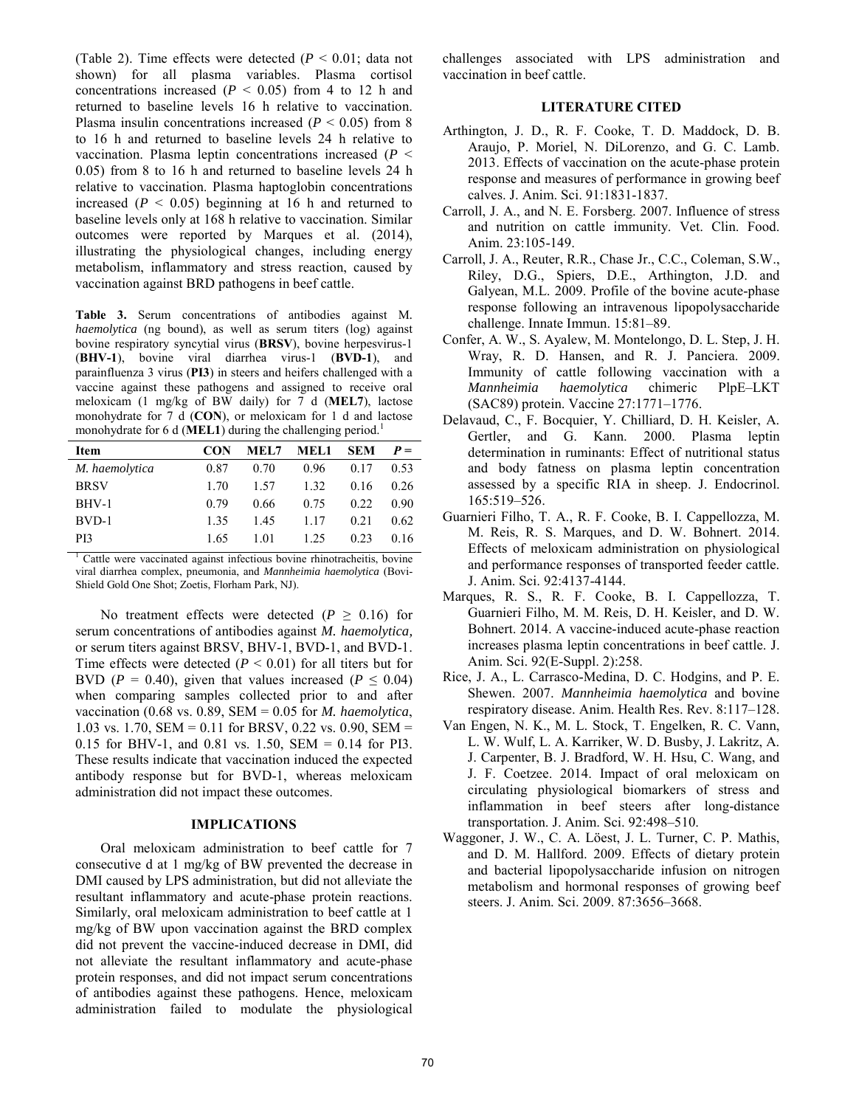(Table 2). Time effects were detected (*P* < 0.01; data not shown) for all plasma variables. Plasma cortisol concentrations increased  $(P < 0.05)$  from 4 to 12 h and returned to baseline levels 16 h relative to vaccination. Plasma insulin concentrations increased  $(P < 0.05)$  from 8 to 16 h and returned to baseline levels 24 h relative to vaccination. Plasma leptin concentrations increased (*P* < 0.05) from 8 to 16 h and returned to baseline levels 24 h relative to vaccination. Plasma haptoglobin concentrations increased  $(P < 0.05)$  beginning at 16 h and returned to baseline levels only at 168 h relative to vaccination. Similar outcomes were reported by Marques et al. (2014), illustrating the physiological changes, including energy metabolism, inflammatory and stress reaction, caused by vaccination against BRD pathogens in beef cattle.

**Table 3.** Serum concentrations of antibodies against M*. haemolytica* (ng bound), as well as serum titers (log) against bovine respiratory syncytial virus (**BRSV**), bovine herpesvirus-1 (**BHV-1**), bovine viral diarrhea virus-1 (**BVD-1**), and parainfluenza 3 virus (**PI3**) in steers and heifers challenged with a vaccine against these pathogens and assigned to receive oral meloxicam (1 mg/kg of BW daily) for 7 d (**MEL7**), lactose monohydrate for 7 d (**CON**), or meloxicam for 1 d and lactose monohydrate for 6 d (**MEL1**) during the challenging period.<sup>1</sup>

| Item            | <b>CON</b> | MEL7 | MEL1 | <b>SEM</b> | $P =$ |
|-----------------|------------|------|------|------------|-------|
| M. haemolytica  | 0.87       | 0.70 | 0.96 | 0.17       | 0.53  |
| <b>BRSV</b>     | 1 70       | 1.57 | 1.32 | 0.16       | 0.26  |
| BHV-1           | 0.79       | 0.66 | 0.75 | 0.22       | 0.90  |
| BVD-1           | 135        | 145  | 1.17 | 0.21       | 0.62  |
| P <sub>13</sub> | 1.65       | 1 01 | 1 25 | 0.23       | 0.16  |

1 Cattle were vaccinated against infectious bovine rhinotracheitis, bovine viral diarrhea complex, pneumonia, and *Mannheimia haemolytica* (Bovi-Shield Gold One Shot; Zoetis, Florham Park, NJ).

No treatment effects were detected  $(P \ge 0.16)$  for serum concentrations of antibodies against *M. haemolytica,*  or serum titers against BRSV, BHV-1, BVD-1, and BVD-1. Time effects were detected  $(P < 0.01)$  for all titers but for BVD ( $P = 0.40$ ), given that values increased ( $P \le 0.04$ ) when comparing samples collected prior to and after vaccination (0.68 vs. 0.89, SEM = 0.05 for *M. haemolytica*, 1.03 vs. 1.70, SEM = 0.11 for BRSV, 0.22 vs. 0.90, SEM = 0.15 for BHV-1, and 0.81 vs. 1.50, SEM = 0.14 for PI3. These results indicate that vaccination induced the expected antibody response but for BVD-1, whereas meloxicam administration did not impact these outcomes.

## **IMPLICATIONS**

Oral meloxicam administration to beef cattle for 7 consecutive d at 1 mg/kg of BW prevented the decrease in DMI caused by LPS administration, but did not alleviate the resultant inflammatory and acute-phase protein reactions. Similarly, oral meloxicam administration to beef cattle at 1 mg/kg of BW upon vaccination against the BRD complex did not prevent the vaccine-induced decrease in DMI, did not alleviate the resultant inflammatory and acute-phase protein responses, and did not impact serum concentrations of antibodies against these pathogens. Hence, meloxicam administration failed to modulate the physiological challenges associated with LPS administration and vaccination in beef cattle.

### **LITERATURE CITED**

- Arthington, J. D., R. F. Cooke, T. D. Maddock, D. B. Araujo, P. Moriel, N. DiLorenzo, and G. C. Lamb. 2013. Effects of vaccination on the acute-phase protein response and measures of performance in growing beef calves. J. Anim. Sci. 91:1831-1837.
- Carroll, J. A., and N. E. Forsberg. 2007. Influence of stress and nutrition on cattle immunity. Vet. Clin. Food. Anim. 23:105-149.
- Carroll, J. A., Reuter, R.R., Chase Jr., C.C., Coleman, S.W., Riley, D.G., Spiers, D.E., Arthington, J.D. and Galyean, M.L. 2009. Profile of the bovine acute-phase response following an intravenous lipopolysaccharide challenge. Innate Immun. 15:81–89.
- Confer, A. W., S. Ayalew, M. Montelongo, D. L. Step, J. H. Wray, R. D. Hansen, and R. J. Panciera. 2009. Immunity of cattle following vaccination with a<br>Mannheimia haemolytica chimeric PlpE-LKT *Mannheimia haemolytica* chimeric PlpE–LKT (SAC89) protein. Vaccine 27:1771–1776.
- Delavaud, C., F. Bocquier, Y. Chilliard, D. H. Keisler, A. Gertler, and G. Kann. 2000. Plasma leptin determination in ruminants: Effect of nutritional status and body fatness on plasma leptin concentration assessed by a specific RIA in sheep. J. Endocrinol. 165:519–526.
- Guarnieri Filho, T. A., R. F. Cooke, B. I. Cappellozza, M. M. Reis, R. S. Marques, and D. W. Bohnert. 2014. Effects of meloxicam administration on physiological and performance responses of transported feeder cattle. J. Anim. Sci. 92:4137-4144.
- Marques, R. S., R. F. Cooke, B. I. Cappellozza, T. Guarnieri Filho, M. M. Reis, D. H. Keisler, and D. W. Bohnert. 2014. A vaccine-induced acute-phase reaction increases plasma leptin concentrations in beef cattle. J. Anim. Sci. 92(E-Suppl. 2):258.
- Rice, J. A., L. Carrasco-Medina, D. C. Hodgins, and P. E. Shewen. 2007. *Mannheimia haemolytica* and bovine respiratory disease. Anim. Health Res. Rev. 8:117–128.
- Van Engen, N. K., M. L. Stock, T. Engelken, R. C. Vann, L. W. Wulf, L. A. Karriker, W. D. Busby, J. Lakritz, A. J. Carpenter, B. J. Bradford, W. H. Hsu, C. Wang, and J. F. Coetzee. 2014. Impact of oral meloxicam on circulating physiological biomarkers of stress and inflammation in beef steers after long-distance transportation. J. Anim. Sci. 92:498–510.
- Waggoner, J. W., C. A. Löest, J. L. Turner, C. P. Mathis, and D. M. Hallford. 2009. Effects of dietary protein and bacterial lipopolysaccharide infusion on nitrogen metabolism and hormonal responses of growing beef steers. J. Anim. Sci. 2009. 87:3656–3668.